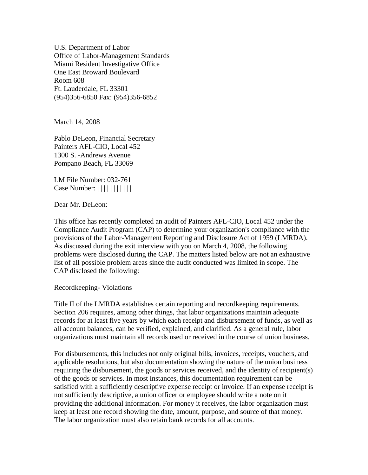U.S. Department of Labor Office of Labor-Management Standards Miami Resident Investigative Office One East Broward Boulevard Room 608 Ft. Lauderdale, FL 33301 (954)356-6850 Fax: (954)356-6852

March 14, 2008

Pablo DeLeon, Financial Secretary Painters AFL-CIO, Local 452 1300 S. -Andrews Avenue Pompano Beach, FL 33069

LM File Number: 032-761 Case Number: | | | | | | | | | | |

Dear Mr. DeLeon:

This office has recently completed an audit of Painters AFL-CIO, Local 452 under the Compliance Audit Program (CAP) to determine your organization's compliance with the provisions of the Labor-Management Reporting and Disclosure Act of 1959 (LMRDA). As discussed during the exit interview with you on March 4, 2008, the following problems were disclosed during the CAP. The matters listed below are not an exhaustive list of all possible problem areas since the audit conducted was limited in scope. The CAP disclosed the following:

Recordkeeping- Violations

Title II of the LMRDA establishes certain reporting and recordkeeping requirements. Section 206 requires, among other things, that labor organizations maintain adequate records for at least five years by which each receipt and disbursement of funds, as well as all account balances, can be verified, explained, and clarified. As a general rule, labor organizations must maintain all records used or received in the course of union business.

For disbursements, this includes not only original bills, invoices, receipts, vouchers, and applicable resolutions, but also documentation showing the nature of the union business requiring the disbursement, the goods or services received, and the identity of recipient(s) of the goods or services. In most instances, this documentation requirement can be satisfied with a sufficiently descriptive expense receipt or invoice. If an expense receipt is not sufficiently descriptive, a union officer or employee should write a note on it providing the additional information. For money it receives, the labor organization must keep at least one record showing the date, amount, purpose, and source of that money. The labor organization must also retain bank records for all accounts.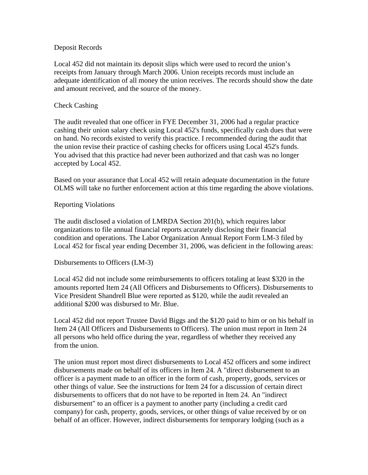### Deposit Records

Local 452 did not maintain its deposit slips which were used to record the union's receipts from January through March 2006. Union receipts records must include an adequate identification of all money the union receives. The records should show the date and amount received, and the source of the money.

# Check Cashing

The audit revealed that one officer in FYE December 31, 2006 had a regular practice cashing their union salary check using Local 452's funds, specifically cash dues that were on hand. No records existed to verify this practice. I recommended during the audit that the union revise their practice of cashing checks for officers using Local 452's funds. You advised that this practice had never been authorized and that cash was no longer accepted by Local 452.

Based on your assurance that Local 452 will retain adequate documentation in the future OLMS will take no further enforcement action at this time regarding the above violations.

# Reporting Violations

The audit disclosed a violation of LMRDA Section 201(b), which requires labor organizations to file annual financial reports accurately disclosing their financial condition and operations. The Labor Organization Annual Report Form LM-3 filed by Local 452 for fiscal year ending December 31, 2006, was deficient in the following areas:

### Disbursements to Officers (LM-3)

Local 452 did not include some reimbursements to officers totaling at least \$320 in the amounts reported Item 24 (All Officers and Disbursements to Officers). Disbursements to Vice President Shandrell Blue were reported as \$120, while the audit revealed an additional \$200 was disbursed to Mr. Blue.

Local 452 did not report Trustee David Biggs and the \$120 paid to him or on his behalf in Item 24 (All Officers and Disbursements to Officers). The union must report in Item 24 all persons who held office during the year, regardless of whether they received any from the union.

The union must report most direct disbursements to Local 452 officers and some indirect disbursements made on behalf of its officers in Item 24. A "direct disbursement to an officer is a payment made to an officer in the form of cash, property, goods, services or other things of value. See the instructions for Item 24 for a discussion of certain direct disbursements to officers that do not have to be reported in Item 24. An "indirect disbursement" to an officer is a payment to another party (including a credit card company) for cash, property, goods, services, or other things of value received by or on behalf of an officer. However, indirect disbursements for temporary lodging (such as a